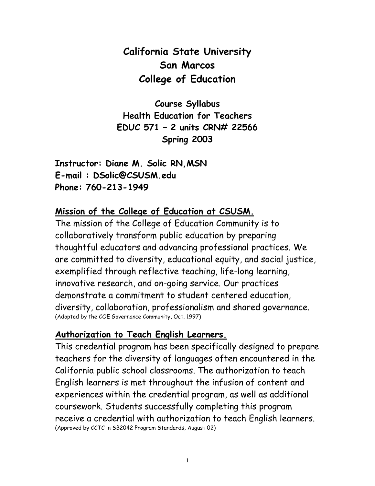# **California State University San Marcos College of Education**

**Course Syllabus Health Education for Teachers EDUC 571 – 2 units CRN# 22566 Spring 2003**

**Instructor: Diane M. Solic RN,MSN E-mail : DSolic@CSUSM.edu Phone: 760-213-1949**

#### **Mission of the College of Education at CSUSM.**

The mission of the College of Education Community is to collaboratively transform public education by preparing thoughtful educators and advancing professional practices. We are committed to diversity, educational equity, and social justice, exemplified through reflective teaching, life-long learning, innovative research, and on-going service. Our practices demonstrate a commitment to student centered education, diversity, collaboration, professionalism and shared governance. (Adopted by the COE Governance Community, Oct. 1997)

#### **Authorization to Teach English Learners.**

This credential program has been specifically designed to prepare teachers for the diversity of languages often encountered in the California public school classrooms. The authorization to teach English learners is met throughout the infusion of content and experiences within the credential program, as well as additional coursework. Students successfully completing this program receive a credential with authorization to teach English learners. (Approved by CCTC in SB2042 Program Standards, August 02)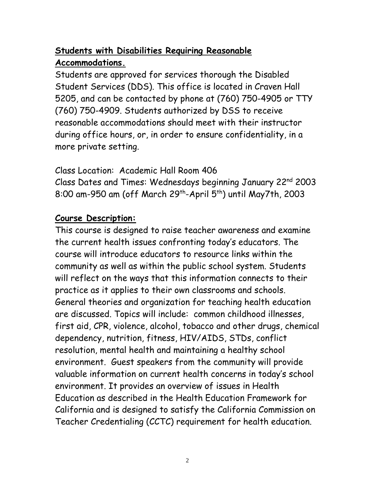## **Students with Disabilities Requiring Reasonable Accommodations.**

Students are approved for services thorough the Disabled Student Services (DDS). This office is located in Craven Hall 5205, and can be contacted by phone at (760) 750-4905 or TTY (760) 750-4909. Students authorized by DSS to receive reasonable accommodations should meet with their instructor during office hours, or, in order to ensure confidentiality, in a more private setting.

Class Location: Academic Hall Room 406 Class Dates and Times: Wednesdays beginning January 22nd 2003 8:00 am-950 am (off March 29<sup>th</sup>-April 5<sup>th</sup>) until May7th, 2003

### **Course Description:**

This course is designed to raise teacher awareness and examine the current health issues confronting today's educators. The course will introduce educators to resource links within the community as well as within the public school system. Students will reflect on the ways that this information connects to their practice as it applies to their own classrooms and schools. General theories and organization for teaching health education are discussed. Topics will include: common childhood illnesses, first aid, CPR, violence, alcohol, tobacco and other drugs, chemical dependency, nutrition, fitness, HIV/AIDS, STDs, conflict resolution, mental health and maintaining a healthy school environment. Guest speakers from the community will provide valuable information on current health concerns in today's school environment. It provides an overview of issues in Health Education as described in the Health Education Framework for California and is designed to satisfy the California Commission on Teacher Credentialing (CCTC) requirement for health education.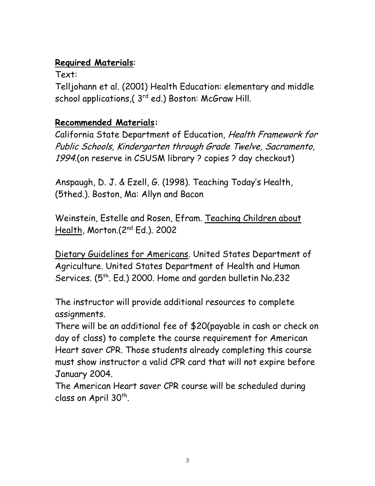### **Required Materials**:

Text:

Telljohann et al. (2001) Health Education: elementary and middle school applications, (3<sup>rd</sup> ed.) Boston: McGraw Hill.

## **Recommended Materials:**

California State Department of Education, Health Framework for Public Schools, Kindergarten through Grade Twelve, Sacramento, 1994.(on reserve in CSUSM library ? copies ? day checkout)

Anspaugh, D. J. & Ezell, G. (1998). Teaching Today's Health, (5thed.). Boston, Ma: Allyn and Bacon

Weinstein, Estelle and Rosen, Efram. Teaching Children about Health, Morton.(2nd Ed.). 2002

Dietary Guidelines for Americans. United States Department of Agriculture. United States Department of Health and Human Services. (5<sup>th</sup>. Ed.) 2000. Home and garden bulletin No.232

The instructor will provide additional resources to complete assignments.

There will be an additional fee of \$20(payable in cash or check on day of class) to complete the course requirement for American Heart saver CPR. Those students already completing this course must show instructor a valid CPR card that will not expire before January 2004.

The American Heart saver CPR course will be scheduled during class on April 30<sup>th</sup>.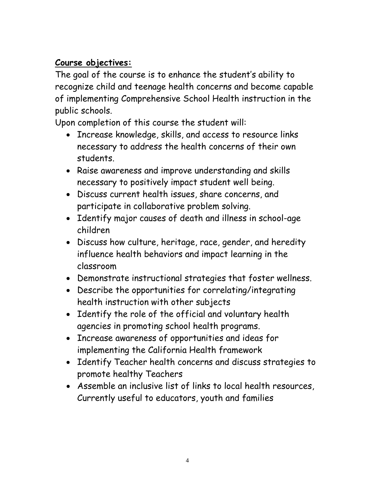### **Course objectives:**

The goal of the course is to enhance the student's ability to recognize child and teenage health concerns and become capable of implementing Comprehensive School Health instruction in the public schools.

Upon completion of this course the student will:

- Increase knowledge, skills, and access to resource links necessary to address the health concerns of their own students.
- Raise awareness and improve understanding and skills necessary to positively impact student well being.
- Discuss current health issues, share concerns, and participate in collaborative problem solving.
- Identify major causes of death and illness in school-age children
- Discuss how culture, heritage, race, gender, and heredity influence health behaviors and impact learning in the classroom
- Demonstrate instructional strategies that foster wellness.
- Describe the opportunities for correlating/integrating health instruction with other subjects
- Identify the role of the official and voluntary health agencies in promoting school health programs.
- Increase awareness of opportunities and ideas for implementing the California Health framework
- Identify Teacher health concerns and discuss strategies to promote healthy Teachers
- Assemble an inclusive list of links to local health resources, Currently useful to educators, youth and families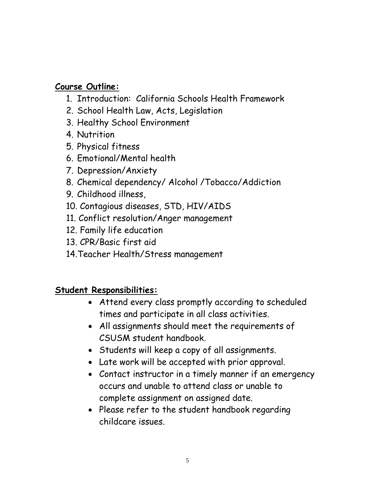#### **Course Outline:**

- 1. Introduction: California Schools Health Framework
- 2. School Health Law, Acts, Legislation
- 3. Healthy School Environment
- 4. Nutrition
- 5. Physical fitness
- 6. Emotional/Mental health
- 7. Depression/Anxiety
- 8. Chemical dependency/ Alcohol /Tobacco/Addiction
- 9. Childhood illness,
- 10. Contagious diseases, STD, HIV/AIDS
- 11. Conflict resolution/Anger management
- 12. Family life education
- 13. CPR/Basic first aid
- 14.Teacher Health/Stress management

### **Student Responsibilities:**

- Attend every class promptly according to scheduled times and participate in all class activities.
- All assignments should meet the requirements of CSUSM student handbook.
- Students will keep a copy of all assignments.
- Late work will be accepted with prior approval.
- Contact instructor in a timely manner if an emergency occurs and unable to attend class or unable to complete assignment on assigned date.
- Please refer to the student handbook regarding childcare issues.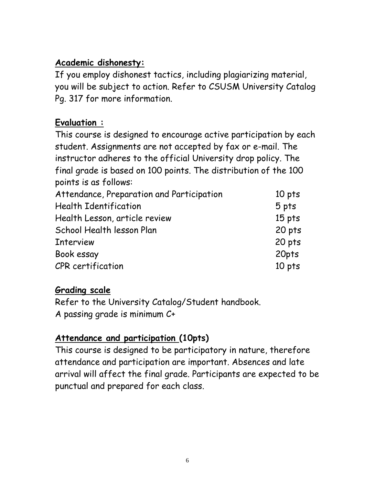#### **Academic dishonesty:**

If you employ dishonest tactics, including plagiarizing material, you will be subject to action. Refer to CSUSM University Catalog Pg. 317 for more information.

## **Evaluation :**

This course is designed to encourage active participation by each student. Assignments are not accepted by fax or e-mail. The instructor adheres to the official University drop policy. The final grade is based on 100 points. The distribution of the 100 points is as follows:

| Attendance, Preparation and Participation | 10 pts |
|-------------------------------------------|--------|
| <b>Health Identification</b>              | 5 pts  |
| Health Lesson, article review             | 15 pts |
| School Health lesson Plan                 | 20 pts |
| <b>Interview</b>                          | 20 pts |
| Book essay                                | 20pts  |
| CPR certification                         | 10 pts |

### **Grading scale**

Refer to the University Catalog/Student handbook. A passing grade is minimum C+

## **Attendance and participation (10pts)**

This course is designed to be participatory in nature, therefore attendance and participation are important. Absences and late arrival will affect the final grade. Participants are expected to be punctual and prepared for each class.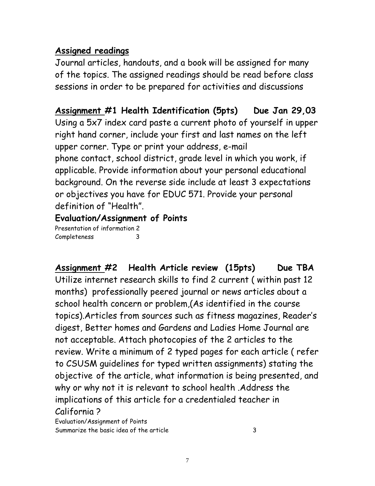#### **Assigned readings**

Journal articles, handouts, and a book will be assigned for many of the topics. The assigned readings should be read before class sessions in order to be prepared for activities and discussions

**Assignment #1 Health Identification (5pts) Due Jan 29,03** Using a 5x7 index card paste a current photo of yourself in upper right hand corner, include your first and last names on the left upper corner. Type or print your address, e-mail phone contact, school district, grade level in which you work, if applicable. Provide information about your personal educational background. On the reverse side include at least 3 expectations or objectives you have for EDUC 571. Provide your personal definition of "Health".

### **Evaluation/Assignment of Points**

Presentation of information 2 **Completeness** 

**Assignment #2 Health Article review (15pts) Due TBA** Utilize internet research skills to find 2 current ( within past 12 months) professionally peered journal or news articles about a school health concern or problem,(As identified in the course topics).Articles from sources such as fitness magazines, Reader's digest, Better homes and Gardens and Ladies Home Journal are not acceptable. Attach photocopies of the 2 articles to the review. Write a minimum of 2 typed pages for each article ( refer to CSUSM guidelines for typed written assignments) stating the objective of the article, what information is being presented, and why or why not it is relevant to school health .Address the implications of this article for a credentialed teacher in California ?

Evaluation/Assignment of Points Summarize the basic idea of the article 3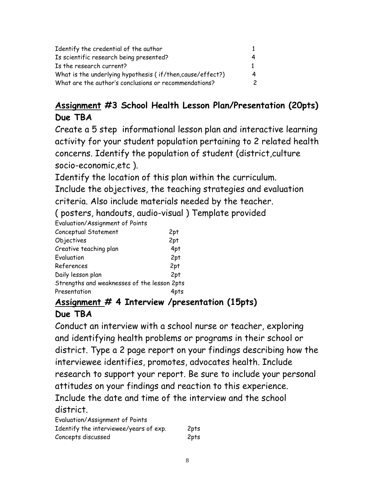| Identify the credential of the author                     |   |
|-----------------------------------------------------------|---|
| Is scientific research being presented?                   |   |
| Is the research current?                                  |   |
| What is the underlying hypothesis (if/then.cause/effect?) | 4 |
| What are the author's conclusions or recommendations?     | 2 |

### **Assignment #3 School Health Lesson Plan/Presentation (20pts) Due TBA**

Create a 5 step informational lesson plan and interactive learning activity for your student population pertaining to 2 related health concerns. Identify the population of student (district,culture socio-economic,etc ).

Identify the location of this plan within the curriculum.

Include the objectives, the teaching strategies and evaluation criteria. Also include materials needed by the teacher.

( posters, handouts, audio-visual ) Template provided

Evaluation/Assignment of Points

| Conceptual Statement                        | 2pt  |
|---------------------------------------------|------|
| Objectives                                  | 2pt  |
| Creative teaching plan                      | 4pt  |
| Evaluation                                  | 2pt  |
| References                                  | 2pt  |
| Daily lesson plan                           | 2pt  |
| Strengths and weaknesses of the lesson 2pts |      |
| Presentation                                | 4pts |

## **Assignment # 4 Interview /presentation (15pts)**

### **Due TBA**

Conduct an interview with a school nurse or teacher, exploring and identifying health problems or programs in their school or district. Type a 2 page report on your findings describing how the interviewee identifies, promotes, advocates health. Include research to support your report. Be sure to include your personal attitudes on your findings and reaction to this experience. Include the date and time of the interview and the school district.

| Evaluation/Assignment of Points        |      |
|----------------------------------------|------|
| Identify the interviewee/years of exp. | 2pts |
| Concepts discussed                     | 2pts |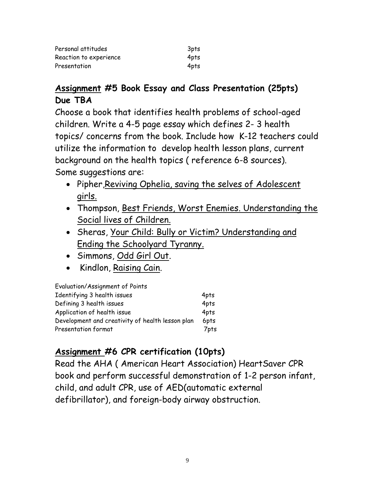| Personal attitudes     | 3pts |
|------------------------|------|
| Reaction to experience | 4pts |
| Presentation           | 4pts |

#### **Assignment #5 Book Essay and Class Presentation (25pts) Due TBA**

Choose a book that identifies health problems of school-aged children. Write a 4-5 page essay which defines 2- 3 health topics/ concerns from the book. Include how K-12 teachers could utilize the information to develop health lesson plans, current background on the health topics ( reference 6-8 sources). Some suggestions are:

- Pipher, Reviving Ophelia, saving the selves of Adolescent girls.
- Thompson, Best Friends, Worst Enemies. Understanding the Social lives of Children.
- Sheras, Your Child: Bully or Victim? Understanding and Ending the Schoolyard Tyranny.
- Simmons, Odd Girl Out.
- Kindlon, Raising Cain.

| Evaluation/Assignment of Points                  |      |
|--------------------------------------------------|------|
| Identifying 3 health issues                      | 4pts |
| Defining 3 health issues                         | 4pts |
| Application of health issue                      | 4pts |
| Development and creativity of health lesson plan | 6pts |
| Presentation format                              | 7pts |

# **Assignment #6 CPR certification (10pts)**

Read the AHA ( American Heart Association) HeartSaver CPR book and perform successful demonstration of 1-2 person infant, child, and adult CPR, use of AED(automatic external defibrillator), and foreign-body airway obstruction.